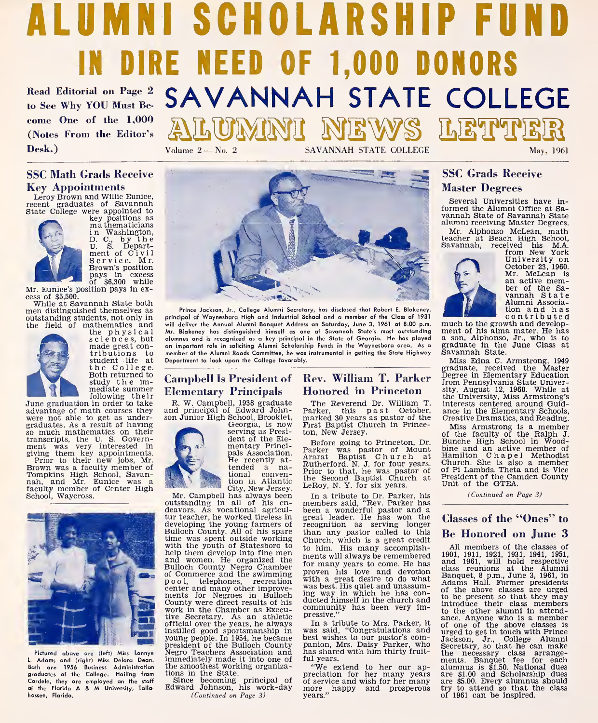# ALUMNI SCHOLARSHIP FUND IN DIRE NEED OF 1,000 DONORS Read Editorial on Page 2 SAVANNAH STATE COLLEGE<br>to See Why YOU Must Be- SAVANNAH STATE COLLEGE<br>come One of the 1,000<br>(Notes From the Editor's ALUINANII NEWS LETPTER

come One of the 1,000 (Notes From the Editor's Desk.) Volume 2 — No. 2 SAVANNAH STATE COLLEGE May, 1961

### **SSC Math Grads Receive** Key Appointments

Leroy Brown and Willie Eunice, recent graduates of Savannah State College were appointed to key positions as mathematicians

<sup>i</sup> n Washington, D. C., by the<br>U. S. Department of Civil<br>Service. Mr. Brown's position pays in excess of \$6,300 while Mr. Eunice's position pays in ex-

cess of \$5,500.

men distinguished themselves as outstanding students, not only in the field of mathematics and



the physical sciences, but alu<br>made great con-<br>tributions to me student life at Dep<br>the College. —<br>Both returned to

study the im-<br>
mediate summer<br>
following their<br>
divantage of math courses they<br>
were not able to get as under-<br>
summer<br>
peraduates. As a result of having<br>
raduates. As a result of having June graduation in order to take and principal of Edward John-<br>advantage of math courses they and principal of Edward John-<br>were not able to get as under- son Junior High School, Brooklet, June graduaton in order to take<br>davantage of math courses they an<br>graduates. As a result of having<br>graduates. As a result of having<br>transcripts, the U. S. Govern-<br>ment was very interested in<br>giving them key appointments. Prior to their new jobs, Mr.<br>Brown was a faculty member of<br>Tompkins High School, Savan-<br>nah, and Mr. Eunice was a faculty member of Center High School, Waycross.



Pictured above are (left) Miss Lonnye Adams and (right) Miss Deiara Dean. Both are 1956 Business Administration graduates of the College. Hailing from Cardele, they are emplayed an the staff<br>of the Flarida A & M University, Tallahassee, Florida.



Prince Jackson, Jr., College Alumni Secretary, has disclosed that Robert E. Blakeney, principal of Waynesboro High and Industrial School ond o member of the Class of 1931 will deliver the Annual Alumni Banquet Address on Saturday, June 3, 1961 at 8:00 p.m. much to the growth and develop-Mr. Blakeney has distinguished himself as one of Savannah State's most outstanding alumnus and is recagnized as a key principal in the State af Geargia. He has played an important role in saliciting Alumni Scholarship Funds in the Waynesboro area. As a<br>an important role in saliciting Alumni Scholarship F member of the Alumni Roads Committee, he was instrumental in getting the State Highway Department to look upon the College favorably.

### Campbell Is President of  $\|$  Rev. William T. Parker  $\frac{Deg}{from}$ Elementary Principals

and principal of Edward Johnson Junior High School, Brooklet, Georgia, is now

serving as President of the Elementary Princi-<br>pals Association. pals Association.<br>He recently at-<br>tended a national convention in Atlantic<br>City, New Jersey.

City, New Jersey. Mr. Campbell has always been outstanding in all of his en-deavors. As vocational agricultur teacher, he worked tireless in graevloping the young farmers of Fee<br>Bulloch County. All of his spare the<br>Bulloch County. All of his spare time was spent outside working with the youth of Statesboro to to him. His many accomplishhelp them develop into fine men<br>and women. He organized the men<br>Bulloch County Negro Chamber of Commerce and the swimming pool, telephones, recreation ments for Negroes in Bulloch ing way in which he has con-<br>County were direct results of his work in the Chamber as Execu-<br>work in the Chamber as Execu-<br>community has been very imtive Secretary. As an athletic official over the years, he always instilled good sportsmanship in young people. In 1954, he became president of the Bulloch County Negro Teachers Association and the smoothest working organizations in the State.

Since becoming principal of Edward Johnson, his work-day (Continued on Page 3)

## Honored in Princeton

The Reverend Dr. William T. Parker, this past October, marked <sup>30</sup> years as pastor of the First Baptist Church in Princeton, New Jersey.

Parker was pastor of Mount binarat Baptist Church at Rutherford, N. J. for four years. China Rutherford, N. J. for the Second Baptist Church at Pre Rutherford, N. J. for four years. Cl<br>Prior to hat, he was pastor of off<br>the Second Baptist Church at Pr.<br>D. Rev. N. Y. For six years.<br>The members said, "Rev. Parker has<br>been a wonderful pastor and a

great leader. He has won the recognition as serving longer than any pastor called to this Church, which is a great credit ments will always be remembered for many years to come. He has proven his love and devotion used<br>with a great desire to do what ad was best. His quiet and unassuming way in which he has con-<br>ducted himself in the church and pressive."

In <sup>a</sup> tribute to Mrs. Parker, it was said, "Congratulations and best wishes to our pastor's com-panion, Mrs. Daisy Parker, who has shared with him thirty fruitful years.

"We extend to her our ap-preciation for her many years of service and wish for her many more years.<br>
"We extend to her our ap-<br>
preciation for her many years are<br>
of service and wish for her many and<br>
more mappy and prosperous tr<br>
years." more happy and prosperous<br>years."

### SSC Grads Receive **Master Degrees**

Several Universities have in- formed the Alumni Office at Sa- vannah State of Savannah State alumni receiving Master Degrees.

Mr. Alphonso McLean, math<br>teacher at Beach High School,<br>Savannah, received his M.A.<br>from New York<br>University on



University on<br>October 23, 1960.<br>Mr. McLean is Mr. McLean is an active member of the Sa- vannah State Alumni Association and has contributed

ment of his alma mater. He has a son, Alphonso, Jr., who is to graduate in the June Class at

Miss Edna C. Armstrong, 1949 graduate, received the Master Degree in Elementary Education from Pennsylvania State Univer-sity, August 12, 1960. While at the University, Miss Armstrong's interests centered around Guidance in the Elementary Schools, Creative Dramatics, and Reading.

Before going to Princeton, Dr. Bunche High School in Wood-<br>arker was pastor of Mount bine and an active member of Miss Armstrong is a member of the faculty of the Ralph J. Bunche High School in Woodbine and an active member of<br>Hamilton Chapel Methodist<br>Church. She is also a member<br>of Pi Lambda Theta and is Vice President of the Camden County Unit of the GTEA.

(Continued on Page 3)

### Classes of the "Ones" to Be Honored on June 3

All members of the classes of **De HOMOFed ON JUMe 5**<br>All members of the classes of<br>1901, 1911, 1921, 1931, 1941, 1951,<br>class reunions at the Alumni<br>class reunions at the Alumni<br>Banquet, 8 p.m., June 3, 1961, in<br>foldams Hall. Former presidents<br>of the ab to the other alumni in attendance. Anyone who is a member of one of the above classes is urged to get in touch with Prince Jackson, Jr., College Alumni Secretary, so that he can make the necessary class arrange-<br>ments. Banquet fee for each<br>alumnus is \$1.50. National dues<br>are \$1.00 and Scholarship dues<br>are \$5.00. Every alumnus should<br>try to attend so that the class<br>of 1961 can be inspired.

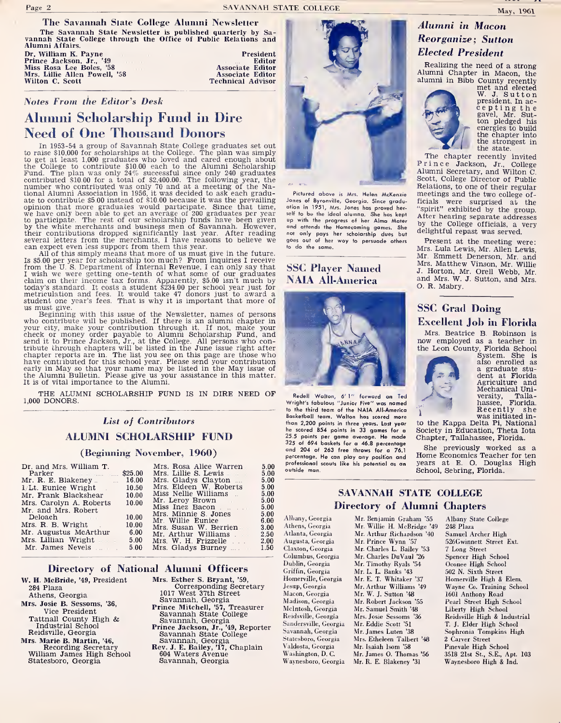The Savannah State Newsletter is published quarterly by Sa- vannah State College through the Office of Public Relations and Mamah State College through the Office of Public Relations and<br>Alumni Affairs. Payne President Prince Jackson, Jr., '49 President Prince Jackson, Jr., '49<br>Prince Jackson, Jr., '49 Associate Editor Mrs. Rosa Lee Boles, '58

Wilton C. Scott Technical Advisor

#### Notes From the Editor's Desk

# Alumni Scholarship Fund in Dire

Need of One Thousand Donors<br>In 1953-54 a group of Savannah State College graduates set out<br>to raise \$10,000 for scholarships at the College. The plan was simply<br>to get at least 1,000 graduates who loved and cared enough ab to raise \$10,000 for scholarships at the Colege. The plan was simply<br>to get at least 1,000 graduates who loved and cared enough about<br>the College to contribute \$10.00 each to the Alumni Scholarship<br>Fund. The plan was only

to participate. The rest of our scholarship funds have been given<br>by the white merchants and business men of Savannah. However,  $\frac{1}{2}$ <br>their contributions dropped significantly last year. After reading not<br>several lett

us must give.<br>Beginning with this issue of the Newsletter, names of persons who contribute will be published. If there is an alumni chapter in who contribute will be published. If there is an alumni chapter in your city, make your contribution through it. If not, make your check or money order payable to Alumni Scholarship Fund, and send it to Prince Jackson, J.r

THE ALUMNI SCHOLARSHIP FUND IS IN DIRE NEED OF 1,000 DONORS.

### List of Contributors ALUMNI SCHOLARSHIP FUND

#### (Beginning November, 1960)

| Dr. and Mrs. William T.                                                                                                                                                                                                        | \$25.00 | Mrs. Rosa Alice Warren<br>Mrs. Lillie S. Lewis | 5.00<br>5.00 | P<br>$\circ$ |
|--------------------------------------------------------------------------------------------------------------------------------------------------------------------------------------------------------------------------------|---------|------------------------------------------------|--------------|--------------|
| Mr. R. E. Blakeney  16.00                                                                                                                                                                                                      |         | Mrs. Gladys Clayton                            | 5.00         | -            |
| 1/Lt. Eunice Wright                                                                                                                                                                                                            | 10.50   | Mrs. Eldeen W. Roberts                         | 5.00         |              |
| Mr. Frank Blackshear                                                                                                                                                                                                           | 10.00   | Miss Nellie Williams                           | 5.00         |              |
| Mrs. Carolyn A. Roberts                                                                                                                                                                                                        | 10.00   | Mr. Leroy Brown                                | 5.00         |              |
| Mr. and Mrs. Robert                                                                                                                                                                                                            |         | Miss Inez Bacon                                | 5.00         |              |
| Deloach and the set of the set of the set of the set of the set of the set of the set of the set of the set of the set of the set of the set of the set of the set of the set of the set of the set of the set of the set of t | 10.00   | Mrs. Minnie S. Jones                           | 5.00         | $\Lambda$    |
| Mrs. R. B. Wright                                                                                                                                                                                                              | 10.00   | Mr. Willie Eunice                              | 6.00         |              |
| Mr. Augustus McArthur                                                                                                                                                                                                          | 6.00    | Mrs. Susan W. Berrien                          | 3.00         | A            |
| Mrs. Lillian Wright                                                                                                                                                                                                            | 5.00    | Mr. Arthur Williams                            | 2.50         | A            |
|                                                                                                                                                                                                                                |         | Mrs. W. H. Frizzelle                           | 2.00         | A            |
| Mr. James Nevels                                                                                                                                                                                                               | 5.00    | Mrs. Gladys Burney                             | 1.50         | €            |

#### Directory of National Alumni Officers

W. H. McBride, '49, President 284 Plaza Athens, Georgia Mrs. Josie B. Sessoms, '36, Vice President Athens, Georgia<br>rs. Josie B. Sessoms, '36,<br>Vice President<br>Tattnall County High &<br>\_ Industrial School Reidsville, Georgia<br>Mrs. Marie B. Martin, '46,

Recording Secretary<br>William James High School Statesboro, Georgia

Mrs. Esther S. Bryant, '59, Corresponding Secretary <sup>1017</sup> West 37th Street Savannah, Georgia **Prince Mitchell, '57, Treasurer<br>| Savannah State College<br>| Savannah, Georgia** 

- Prince Jackson, Jr., '49, Reporter Savannah State College Savannah, Georgia Rev. J. E. Bailey, '17, Chaplain 604 Waters Avenue
- Savannah, Georgia



Pictured above is Mrs. Helen McKenzie Jones of Byronville, Georgia. Since graduation in 1951, Mrs. Jones has proved her-Jones of Byronville, Georgic. Since gradu-<br>tion in 1951, Mrs. Jones has proved her<br>self to be the ideal alumna. She has kept<br>and attends the Homecoming games. She<br>not only pays her scholarship dues but d<br>goes out of her wa to do the same.

### SSC Player Named NAIA All-America



Redell Walton, 6'1" forward on Ted Wright's fabulous "Junior Five" was named Wright's fabulous "Junior Five" was named<br>to the third team of the NAIA All-America<br>Basketball team. Walton has scored more<br>than 2.200 points in three vears, Last vear than 2,200 points in three years. Last year he scored 854 points in 33 games for a 25.5 points per game average. He made 325 of 694 boskets for a 46.8 percentage ond 204 of 263 free throws for a 76.1 percentage. He can play any position and professional scouts like his potential as an outside man.

### Alumni in Macon Reorganize; Sutton Elected President

Realizing the need of a strong Alumni Chapter in Macon, the alumni in Bibb County recently met and elected W. J. Sutton president. In ac-



president. In ac- cepting the gavel, Mr. Sut-<br>ton pledged his<br>energies to build the chapter into the strongest in

The chapter recently invited<br>rince Jackson, Jr., College Prince Jackson, Jr., College Alumni Secretary, and Wilton C. Scott, College Director of Public Relations, to one of their regular meetings and the two college officials were surprised at the<br>"spirit" exhibited by the group,<br>After hearing separate addresses<br>by the College officials, a very<br>delightful repast was served. After hearing separate addresses<br>by the College officials, a very delightful repast was served.

Present at the meeting were:<br>Mrs. Lula Lewis, Mr. Allen Lewis, Mr. Emmett Denerson, Mr. and Mrs. Matthew Vinson, Mr. Willie J. Horton, Mr. Orell Webb, Mr. and Mrs. W. J. Sutton, and Mrs. O. R. Mabry.

### SSC Grad Doing Excellent Job in Florida<br>Mrs. Beatrice B. Robinson is

now employed as a teacher in



the Leon County, Florida School System. She is also enrolled as a graduate stu dent at Florida Agriculture and Mechanical Uni-versity, Tallahassee, Florida.<br>
Recently she<br>
was initiated in-<br>
to the Kappa Delta Pi, National

Society in Education, Theta Iota<br>Chapter, Tallahassee, Florida.

She previously worked as <sup>a</sup> Home Economics Teacher for ten years at E. O. Douglas High School, Sebring, Florida.

### SAVANNAH STATE COLLEGE Directory of Alumni Chapters

Albany, Georgia Athens, Georgia Atlanta, Georgia Augusta, Georgia Claxton, Georgia Columbus, Georgia Dublin, Georgia Griffin, Georgia Homerville, Georgia Jesup, Georgia Macon, Georgia Madison, Georgia Mcintosh, Georgia Reidsville, Georgia Sandersville, Georgia Savannah, Georgia Statesboro, Georgia Valdosta, Georgia Washington, D. C. Waynesboro, Georgia

Mr. Benjamin Graham '55 *– A*<br>Mr. Willie H. McBridge '49 – 2<br>Mr. Arthur Richardson '40 – S<br>Mr. Prince Wynn '57 – 5 Mr. Charles L. Bailey '53 Mr. Charles DuVaul '26 Mr. Timothy Ryals '54 Mr. L. L. Banks '43 Mr. E. T. Whitaker '37 Mr. Arthur Williams '49 Mr. W. J. Sutton '48 Mr. Robert Jackson '55 Mr. Samuel Smith '48 Mrs. Josie Sessoms '36 Mr. Eddie Scott '51 Mr. James Luten '38 Mrs. Etheleen Talbert '48 Mr. Isaiah Isom '58 Mr. James O. Thomas '56 Mr. R. E. Blakeney '31

Albany State College 248 Plaza Samuel Archer High 526Gwinnett Street Ext. 7 Long Street Spencer High School Oconee High School 502 N. Sixth Street Homerville High & Elem. Wayne Co. Training School 1601 Anthony Road Pearl Street High School Liberty High School Reidsville High & Industrial T. J. Elder High School Sophronia Tompkins High 2 Carver Street Pinevaie High School 3518 21st St., S.E., Apt. 103 Waynesboro High & Ind.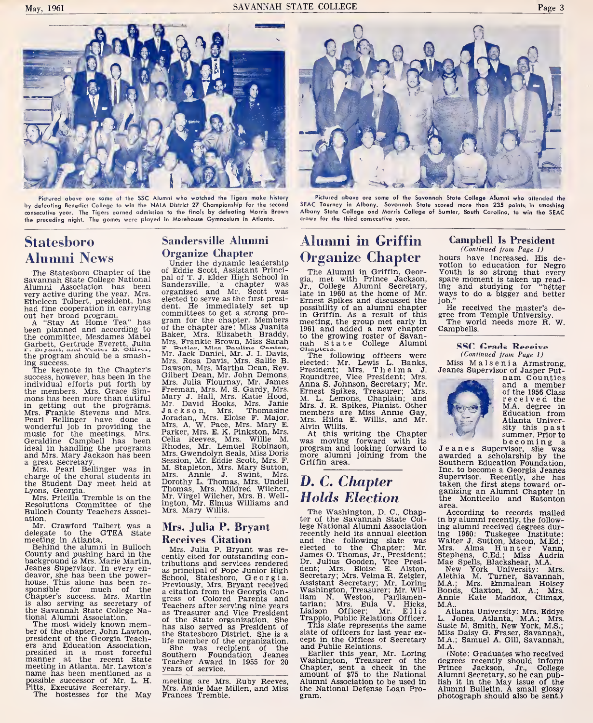

Pictured above ore some of the SSC Alumni who watched the Tigers make history by defeating Benedict College to win the NAIA District 27 Championship for the second consecutive year. The Tigers earned admission to the finals by defeating Morris Browri the preceding night. The games were played in Morehouse Gymnasium in Atlanta.

### Statesboro Alumni News

The Statesboro Chapter of the OI<br>Savannah State College National Pa<br>Alumni Association has been Savery active during the year. Mrs. Etheleen Tolbert, president, has elected to serve as the first presi-<br>had fine cooperation in carrying dent. He immediately set up<br>out her broad program

out her broad program. <sup>A</sup> "Stay At Home Tea" has been planned and according to the committee, Mesdames Mabel Gert paintiete, Mesdames Mabel<br>Garbett, Gertrude Everett, Julia be<br>F. Biyant, and Vester B. Glivet, program should be a smash-<br>line program should be a smash-<br>ling success.

ing success.<br>The keynote in the Chapter's Discusses, however, has been in the G<br>individual efforts put forth by M The keynote in the Chapter's Distribution in the Grandwin in getting in during out of the members. Mrs. Grace Sim- Frankie mons has been more than dutiful Minimum getting out the programs. Mrs. Frankie Stevens and Mrs. Jet Pearl Bellinger have done a Jou<br>wonderful job in providing the M<br>music for the meetings. Mrs. Pa<br>Geraldine Campbell has been ideal in handling the programs and Mrs. Mary Jackson has been

a great Secretary.<br>Mrs. Pearl Bellinger was in M<br>charge of the choral students in D<br>Lyons, Georgia.<br>Mrs. Pricilla Tremble is on the M<br>Mrs. Pricilla Tremble is on the Resolutions Committee of the in

Bulloch County Teachers Associ-

ation. Mr. Crawford Talbert was a Melegate to the GTEA State meeting in Atlanta.<br>Behind the alumni in Bulloch County and pushing hard in Bulloch County and pushing hard in the central background is Mrs. Marie Martin,  $\frac{1$ County and pushing hard in the<br>background is Mrs. Marie Martin,<br>Jeanes Supervisor. In every endeavor, she has been the power-house. This alone has been re sponsible for much of the  $\frac{1}{2}$ <br>Chapter's success. Mrs. Martin gr<br>is also serving as secretary of Te<br>the Savannah State College Na-

tional Alumni Association.<br>The most widely known mem-<br>ber of the chapter, John Lawton, president of the Georgia Teach-<br>ers and Education Association, president of the Georgia Teach-<br>
ers and Education Association, She was recipient of the<br>
ersided in a most forceful Southern Foundation Jeanes<br>
manner at the recent State Teacher Award in 1955 for 20<br>
meeting in Atlanta. possible successor of Mr. L. H. Pitts, Executive Secretary. The hostesses for the May

### Sandersville Alumni Organize Chapter

Under the dynamic leadership of Eddie Scott, Assistant Princi-Under the dynamic leadership<br>of Eddie Scott, Assistant Princi-<br>pal of T. J. Elder High School in glad<br>Sandersville, a chapter was Jr. Sandersville, a chapter was<br>organized and Mr. Scott was elected to serve as the first presi dent. He immediately set up committees to get a strong pro-<br>gram for the chapter. Members me<br>of the chapter are: Miss Juanita 196<br>Baker, Mrs. Elizabeth Braddy, to<br>Mrs. Frankie Brown, Miss Sarah nai<br>me Tavitaw, Miss Danine Ceatien, Cli.<br>Mr. Jack Danie Mrs. Rosa Davis, Mrs. Sallie B.<br>Dawson, Mrs. Martha Dean, Rev. Pr.<br>Gilbert Dean, Mr. John Demons, Ro<br>Mrs. Julia Flournay, Mr. James An<br>Freeman, Mrs. M. S. Gardy, Mrs. Katie<br>Mary J. Hall, Mrs. Katie Hood, M. Mr. David Hooks, Mrs. Janie <sub>Mr</sub><br>Jackson, Mrs. Thomasine <sub>me</sub> Joradan,, Mrs. Eloise F. Major,<br>Mrs. A. W. Pace, Mrs. Mary E. Al<br>Parker, Mrs. E. K. Pinkston, Mrs.<br>Celia Reeves, Mrs. Willie M. we<br>Rhodes, Mr. Lemuel Robinson, pr Celia Reeves, Mrs. Willie M. was moving forward with its<br>Rhodes, Mr. Lemuel Robinson, program and looking forward to<br>Mrs.Gwendolyn-Seals,Miss-Doris more alumni joining from the Session, Mr. Eddie Scott, Mrs. F. M. Stapleton, Mrs. Mary Sutton, Mrs. Annie J. Swint, Mrs. Dorothy L. Thomas, Mrs. Middel Wilcher, Mr. Virgel Wilcher, Mr. Virgel Wilcher, Mr. Virgel Wilcher, Mr. B. Well-<br>Mr. Virgel Wilcher, Mrs. B. Well-<br>ington, Mr. Elmus Williams and Mrs. Mary Willis.

#### Mrs. Julia P. Bryant Receives Citation

Mrs. Julia P. Bryant was re cently cited for outstanding contributions and services rendered Den<br>School, Statesboro, Georgia. See<br>School, Statesboro, Georgia Con-<br>Previously, Mrs. Bryant received<br>areation from the Georgia Con-<br>gress of Colored Parents and lian<br>Teachers after servin as Treasurer and Vice President of the State organization. She has also served as President of<br>the Statesboro District. She is a  $\,$  sl life member of the organization. CB<br>She was recipient of the Southern Foundation Jeanes<br>Southern Foundation Jeanes<br>Teacher Award in 1955 for 20 years of service.

meeting are Mrs. Ruby Reeves, Aluminum Mrs. Annie Mae Millen, and Miss the N<br>Frances Tremble. Frances Tremble.



Pictured above ore some of the Savonnah Stote College Alumni who attended the SEAC Tourney in Albony. Sovonnoh State scored more thon 235 points, in smoshing<br>Albany Stote College ond Marris College of Sumter, South Carolino, to win the SEAC crown for the third consecutive year.

### Alumni in Griffin Organize Chapter

The Alumni in Griffin, Geor-gia, met with Prince Jackson, Jr., College Alumni Secretary, late in 1960 at the home of Mr. Ernest Spikes and discussed the Ernest Spikes and discussed the job.<br>possibility of an alumni chapter H in Griffin. As a result of this meeting, the group met early in 1961 and added a new chapter to the growing roster of Savan- nah State College Alumni

Cliaplcio. The following officers were elected: Mr. Lewis L. Banks, President; Mrs. Thelma J. Rqundtree, Vice President; Mrs. Anna S. Johnson, Secretary; Mr. Ernest Spikes, Treasurer; Mrs.<br>M. L. Lemons, Chaplain; and Mrs. J. R. Spikes, Pianist. Other members are Miss Annie Gay, Mrs. Hilda E. Willis, and Mr. Alvin Willis.

members are Miss Annie Gay,<br>Mrs. Hilda E. Willis, and Mr.<br>At this writing the Chapter<br>was moving forward with its<br>program and looking forward to J<br>more alumni joining from the ay more alumni joining from the<br>Griffin area.

### D. C. Chapter Holds Election

The Washington, D. C, Chapter of the Savannah State College National Alumni Association<br>recently held its annual election recently held its annual election in<sub>l</sub><br>and the following slate was W: elected to the Chapter: Mr. M<br>James O. Thomas, Jr., President; St<br>Dr. Julius Gooden, Vice Presi- M<br>dent; Mrs. Eloise E. Alston,<br>Secretary; Mrs. Velma R. Zeigler, Al Dr. Julius Gooden, Vice Tresil<br>Ment; Mrs. Wilse E. Alston, P<br>Secretary; Mrs. Velma R. Zelgler, Ale<br>Masistant Secretary; Mr. Loring M.<br>Washington, Treasurer; Mr. Wil- Bo<br>Liaison Officer; Mr. Ellis (Liaison, Dirichions Offic

This slate represents the same slate of officers for last year ex cept in the Offices of Secretary and Public Relations.

Earlier this year, Mr. Loring<br>Washington, Treasurer of the de<br>Chapter, sent a check in the Pr<br>amount of \$75 to the National Alumni Association to be used in lis the National Defense Loan Pro-

### Campbell Is President

(Continued from Page 1) hours have increased. His devotion to education for Negro Youth is so strong that every spare moment is taken up read-<br>ing and studying for "better ing and studying for "better ways to do <sup>a</sup> bigger and better

job." He received the master's de-gree from Temple University. The world needs more R. W. Campbells.

#### SSC Crade Receive (Continued from Page 1)

Miss M <sup>a</sup> <sup>1</sup> <sup>s</sup> <sup>e</sup> <sup>n</sup> <sup>i</sup> <sup>a</sup> Armstrong, Jeanes Supervisor of Jasper Put- nam Counties



and a member<br>of the 1956 Class<br>received the<br>M.A. degree in<br>Education from<br>Atlanta Univer-<br>sity this past

Jeanes Supervisor, she was awarded a scholarship by the Southern Education Foundation, Inc. to become a Georgia Jeanes Supervisor. Recently, she has taken the first steps toward or- ganizing an Alumni Chapter in the Monticello and Eatonton area.

According to records mailed in by alumni recently, the follow ing alumni received degrees dur-<br>ing 1960: Tuskegee Institute:<br>Walter J. Sutton, Macon, M.Ed.;<br>Mrs. Alma H. In the Vann,<br>Mrs. Alma H. In the Vann,<br>Mers. Sutes, Blackshear, M.A.<br>Mew York University: Mrs.<br>Alethia M. Turner,

M.A.. Atlanta University: Mrs. Eddye Annie Kate Maddox, Climax,<br>M.A., Mlanta University Mrs. Eddye<br>L. Jones, Atlanta, M.A.; Mrs.<br>Susie M. Smith, New York, M.S.;<br>Miss Daisy G. Fraser, Savannah,<br>M.A.; Samuel A. Gill, Savannah,<br>M.A.;

(Note: Graduates who received degrees recently should inform Prince Jackson, Jr., College Alumni Secretary, so he can publish it in the May issue of the Alumni Bulletin. <sup>A</sup> small glossy photograph should also be sent.)